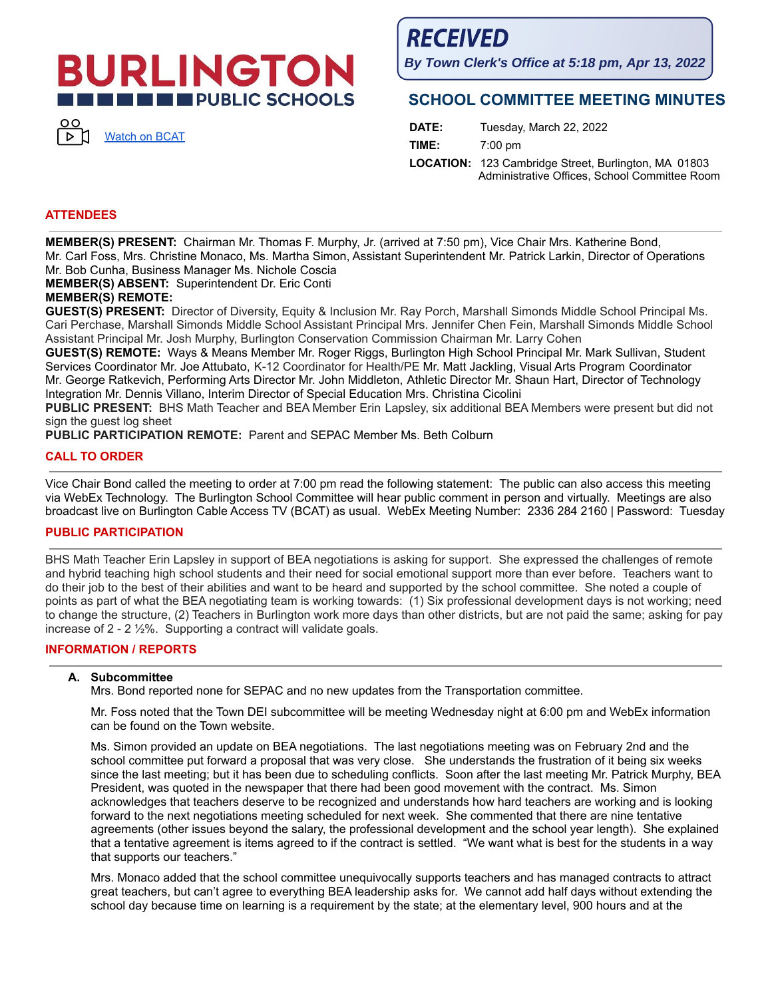# **BURLINGTON THE PUBLIC SCHOOLS**



**RECEIVED** 

**By Town Clerk's Office at 5:18 pm, Apr 13, 2022**

## **SCHOOL COMMITTEE MEETING MINUTES**

**DATE:** Tuesday, March 22, 2022 **TIME:** 7:00 pm **LOCATION:** 123 Cambridge Street, Burlington, MA 01803 Administrative Offices, School Committee Room

#### **ATTENDEES**

**MEMBER(S) PRESENT:** Chairman Mr. Thomas F. Murphy, Jr. (arrived at 7:50 pm), Vice Chair Mrs. Katherine Bond, Mr. Carl Foss, Mrs. Christine Monaco, Ms. Martha Simon, Assistant Superintendent Mr. Patrick Larkin, Director of Operations Mr. Bob Cunha, Business Manager Ms. Nichole Coscia

**MEMBER(S) ABSENT:** Superintendent Dr. Eric Conti

### **MEMBER(S) REMOTE:**

**GUEST(S) PRESENT:** Director of Diversity, Equity & Inclusion Mr. Ray Porch, Marshall Simonds Middle School Principal Ms. Cari Perchase, Marshall Simonds Middle School Assistant Principal Mrs. Jennifer Chen Fein, Marshall Simonds Middle School Assistant Principal Mr. Josh Murphy, Burlington Conservation Commission Chairman Mr. Larry Cohen

**GUEST(S) REMOTE:** Ways & Means Member Mr. Roger Riggs, Burlington High School Principal Mr. Mark Sullivan, Student Services Coordinator Mr. Joe Attubato, K-12 Coordinator for Health/PE Mr. Matt Jackling, Visual Arts Program Coordinator Mr. George Ratkevich, Performing Arts Director Mr. John Middleton, Athletic Director Mr. Shaun Hart, Director of Technology Integration Mr. Dennis Villano, Interim Director of Special Education Mrs. Christina Cicolini

**PUBLIC PRESENT:** BHS Math Teacher and BEA Member Erin Lapsley, six additional BEA Members were present but did not sign the guest log sheet

**PUBLIC PARTICIPATION REMOTE:** Parent and SEPAC Member Ms. Beth Colburn

#### **CALL TO ORDER**

Vice Chair Bond called the meeting to order at 7:00 pm read the following statement: The public can also access this meeting via WebEx Technology. The Burlington School Committee will hear public comment in person and virtually. Meetings are also broadcast live on Burlington Cable Access TV (BCAT) as usual. WebEx Meeting Number: 2336 284 2160 | Password: Tuesday

#### **PUBLIC PARTICIPATION**

BHS Math Teacher Erin Lapsley in support of BEA negotiations is asking for support. She expressed the challenges of remote and hybrid teaching high school students and their need for social emotional support more than ever before. Teachers want to do their job to the best of their abilities and want to be heard and supported by the school committee. She noted a couple of points as part of what the BEA negotiating team is working towards: (1) Six professional development days is not working; need to change the structure, (2) Teachers in Burlington work more days than other districts, but are not paid the same; asking for pay increase of 2 - 2 ½%. Supporting a contract will validate goals.

#### **INFORMATION / REPORTS**

#### **A. Subcommittee**

Mrs. Bond reported none for SEPAC and no new updates from the Transportation committee.

Mr. Foss noted that the Town DEI subcommittee will be meeting Wednesday night at 6:00 pm and WebEx information can be found on the Town website.

Ms. Simon provided an update on BEA negotiations. The last negotiations meeting was on February 2nd and the school committee put forward a proposal that was very close. She understands the frustration of it being six weeks since the last meeting; but it has been due to scheduling conflicts. Soon after the last meeting Mr. Patrick Murphy, BEA President, was quoted in the newspaper that there had been good movement with the contract. Ms. Simon acknowledges that teachers deserve to be recognized and understands how hard teachers are working and is looking forward to the next negotiations meeting scheduled for next week. She commented that there are nine tentative agreements (other issues beyond the salary, the professional development and the school year length). She explained that a tentative agreement is items agreed to if the contract is settled. "We want what is best for the students in a way that supports our teachers."

Mrs. Monaco added that the school committee unequivocally supports teachers and has managed contracts to attract great teachers, but can't agree to everything BEA leadership asks for. We cannot add half days without extending the school day because time on learning is a requirement by the state; at the elementary level, 900 hours and at the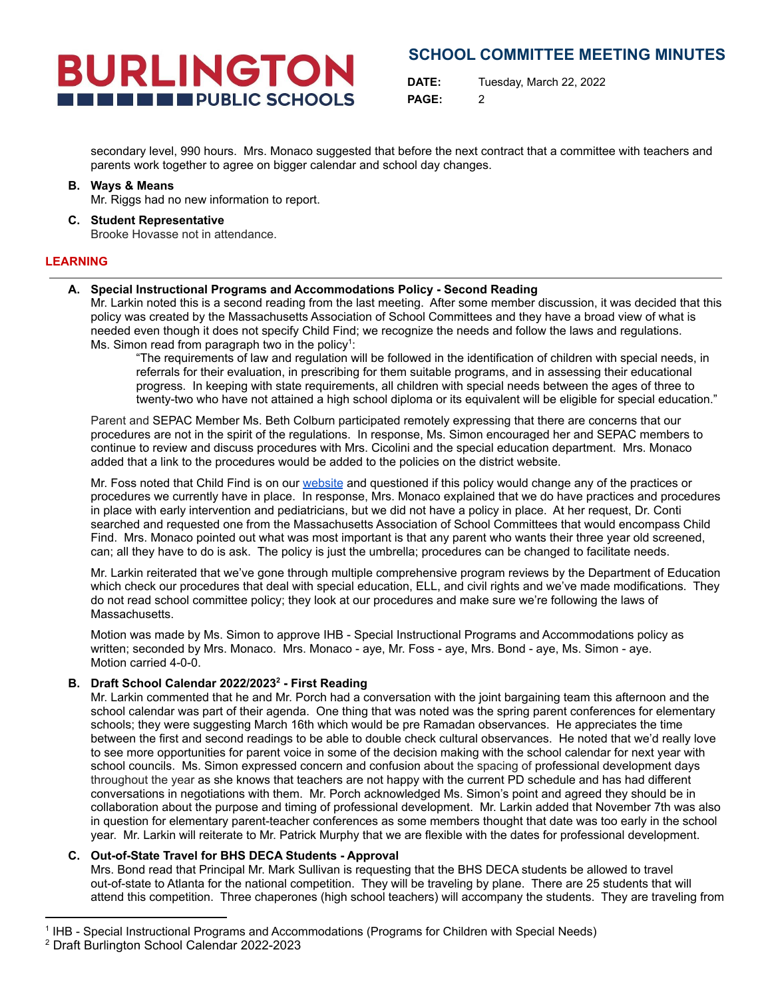**DATE:** Tuesday, March 22, 2022 **PAGE:** 2

secondary level, 990 hours. Mrs. Monaco suggested that before the next contract that a committee with teachers and parents work together to agree on bigger calendar and school day changes.

#### **B. Ways & Means** Mr. Riggs had no new information to report.

**C. Student Representative**

Brooke Hovasse not in attendance.

**BURLINGTON** 

**THE THE PUBLIC SCHOOLS** 

### **LEARNING**

#### **A. Special Instructional Programs and Accommodations Policy - Second Reading**

Mr. Larkin noted this is a second reading from the last meeting. After some member discussion, it was decided that this policy was created by the Massachusetts Association of School Committees and they have a broad view of what is needed even though it does not specify Child Find; we recognize the needs and follow the laws and regulations. Ms. Simon read from paragraph two in the policy<sup>1</sup>:

"The requirements of law and regulation will be followed in the identification of children with special needs, in referrals for their evaluation, in prescribing for them suitable programs, and in assessing their educational progress. In keeping with state requirements, all children with special needs between the ages of three to twenty-two who have not attained a high school diploma or its equivalent will be eligible for special education."

Parent and SEPAC Member Ms. Beth Colburn participated remotely expressing that there are concerns that our procedures are not in the spirit of the regulations. In response, Ms. Simon encouraged her and SEPAC members to continue to review and discuss procedures with Mrs. Cicolini and the special education department. Mrs. Monaco added that a link to the procedures would be added to the policies on the district website.

Mr. Foss noted that Child Find is on our [website](https://www.burlingtonpublicschools.org/district/district_policies/special_instructional_programs___accommodations) and questioned if this policy would change any of the practices or procedures we currently have in place. In response, Mrs. Monaco explained that we do have practices and procedures in place with early intervention and pediatricians, but we did not have a policy in place. At her request, Dr. Conti searched and requested one from the Massachusetts Association of School Committees that would encompass Child Find. Mrs. Monaco pointed out what was most important is that any parent who wants their three year old screened, can; all they have to do is ask. The policy is just the umbrella; procedures can be changed to facilitate needs.

Mr. Larkin reiterated that we've gone through multiple comprehensive program reviews by the Department of Education which check our procedures that deal with special education, ELL, and civil rights and we've made modifications. They do not read school committee policy; they look at our procedures and make sure we're following the laws of Massachusetts.

Motion was made by Ms. Simon to approve IHB - Special Instructional Programs and Accommodations policy as written; seconded by Mrs. Monaco. Mrs. Monaco - aye, Mr. Foss - aye, Mrs. Bond - aye, Ms. Simon - aye. Motion carried 4-0-0.

#### **B. Draft School Calendar 2022/2023 2 - First Reading**

Mr. Larkin commented that he and Mr. Porch had a conversation with the joint bargaining team this afternoon and the school calendar was part of their agenda. One thing that was noted was the spring parent conferences for elementary schools; they were suggesting March 16th which would be pre Ramadan observances. He appreciates the time between the first and second readings to be able to double check cultural observances. He noted that we'd really love to see more opportunities for parent voice in some of the decision making with the school calendar for next year with school councils. Ms. Simon expressed concern and confusion about the spacing of professional development days throughout the year as she knows that teachers are not happy with the current PD schedule and has had different conversations in negotiations with them. Mr. Porch acknowledged Ms. Simon's point and agreed they should be in collaboration about the purpose and timing of professional development. Mr. Larkin added that November 7th was also in question for elementary parent-teacher conferences as some members thought that date was too early in the school year. Mr. Larkin will reiterate to Mr. Patrick Murphy that we are flexible with the dates for professional development.

### **C. Out-of-State Travel for BHS DECA Students - Approval**

Mrs. Bond read that Principal Mr. Mark Sullivan is requesting that the BHS DECA students be allowed to travel out-of-state to Atlanta for the national competition. They will be traveling by plane. There are 25 students that will attend this competition. Three chaperones (high school teachers) will accompany the students. They are traveling from

<sup>&</sup>lt;sup>1</sup> IHB - Special Instructional Programs and Accommodations (Programs for Children with Special Needs)

<sup>2</sup> Draft Burlington School Calendar 2022-2023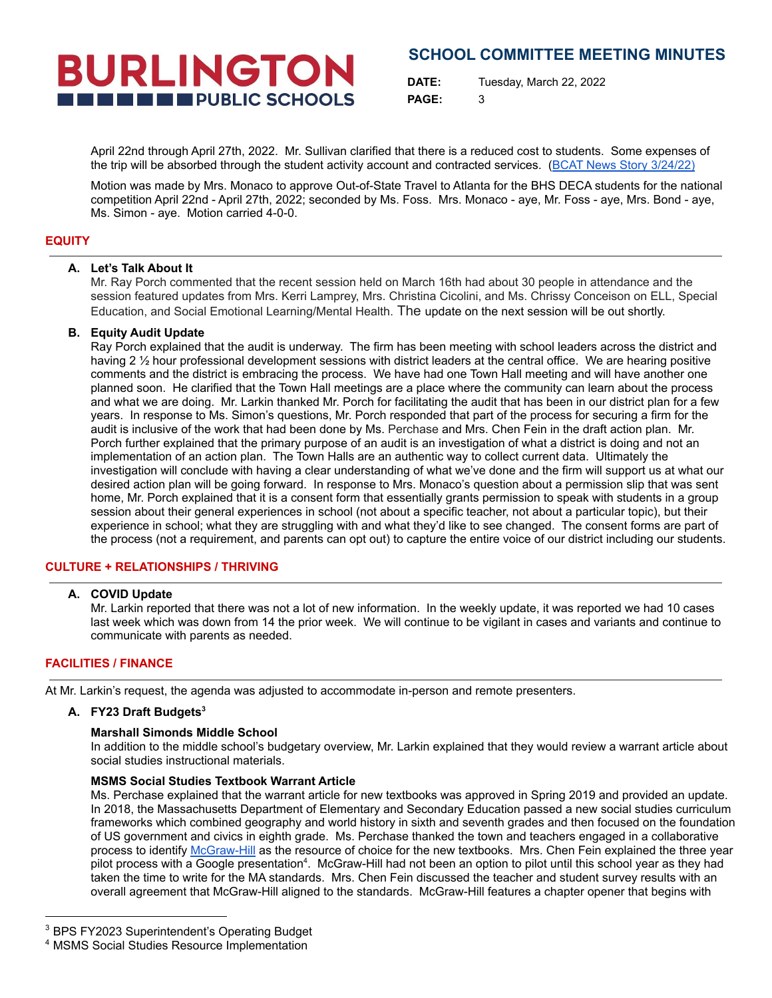# **BURLINGTON THE EXECUTIVE PUBLIC SCHOOLS**

## **SCHOOL COMMITTEE MEETING MINUTES**

**DATE:** Tuesday, March 22, 2022 **PAGE:** 3

April 22nd through April 27th, 2022. Mr. Sullivan clarified that there is a reduced cost to students. Some expenses of the trip will be absorbed through the student activity account and contracted services. (BCAT News Story [3/24/22\)](https://bcattv.org/its-the-bhs-deca-club-against-the-world/)

Motion was made by Mrs. Monaco to approve Out-of-State Travel to Atlanta for the BHS DECA students for the national competition April 22nd - April 27th, 2022; seconded by Ms. Foss. Mrs. Monaco - aye, Mr. Foss - aye, Mrs. Bond - aye, Ms. Simon - aye. Motion carried 4-0-0.

#### **EQUITY**

#### **A. Let's Talk About It**

Mr. Ray Porch commented that the recent session held on March 16th had about 30 people in attendance and the session featured updates from Mrs. Kerri Lamprey, Mrs. Christina Cicolini, and Ms. Chrissy Conceison on ELL, Special Education, and Social Emotional Learning/Mental Health. The update on the next session will be out shortly.

#### **B. Equity Audit Update**

Ray Porch explained that the audit is underway. The firm has been meeting with school leaders across the district and having 2 % hour professional development sessions with district leaders at the central office. We are hearing positive comments and the district is embracing the process. We have had one Town Hall meeting and will have another one planned soon. He clarified that the Town Hall meetings are a place where the community can learn about the process and what we are doing. Mr. Larkin thanked Mr. Porch for facilitating the audit that has been in our district plan for a few years. In response to Ms. Simon's questions, Mr. Porch responded that part of the process for securing a firm for the audit is inclusive of the work that had been done by Ms. Perchase and Mrs. Chen Fein in the draft action plan. Mr. Porch further explained that the primary purpose of an audit is an investigation of what a district is doing and not an implementation of an action plan. The Town Halls are an authentic way to collect current data. Ultimately the investigation will conclude with having a clear understanding of what we've done and the firm will support us at what our desired action plan will be going forward. In response to Mrs. Monaco's question about a permission slip that was sent home, Mr. Porch explained that it is a consent form that essentially grants permission to speak with students in a group session about their general experiences in school (not about a specific teacher, not about a particular topic), but their experience in school; what they are struggling with and what they'd like to see changed. The consent forms are part of the process (not a requirement, and parents can opt out) to capture the entire voice of our district including our students.

#### **CULTURE + RELATIONSHIPS / THRIVING**

#### **A. COVID Update**

Mr. Larkin reported that there was not a lot of new information. In the weekly update, it was reported we had 10 cases last week which was down from 14 the prior week. We will continue to be vigilant in cases and variants and continue to communicate with parents as needed.

#### **FACILITIES / FINANCE**

At Mr. Larkin's request, the agenda was adjusted to accommodate in-person and remote presenters.

#### **A. FY23 Draft Budgets 3**

#### **Marshall Simonds Middle School**

In addition to the middle school's budgetary overview, Mr. Larkin explained that they would review a warrant article about social studies instructional materials.

#### **MSMS Social Studies Textbook Warrant Article**

Ms. Perchase explained that the warrant article for new textbooks was approved in Spring 2019 and provided an update. In 2018, the Massachusetts Department of Elementary and Secondary Education passed a new social studies curriculum frameworks which combined geography and world history in sixth and seventh grades and then focused on the foundation of US government and civics in eighth grade. Ms. Perchase thanked the town and teachers engaged in a collaborative process to identify [McGraw-Hill](https://www.mheducation.com/prek-12/explore/networks.html) as the resource of choice for the new textbooks. Mrs. Chen Fein explained the three year pilot process with a Google presentation<sup>4</sup>. McGraw-Hill had not been an option to pilot until this school year as they had taken the time to write for the MA standards. Mrs. Chen Fein discussed the teacher and student survey results with an overall agreement that McGraw-Hill aligned to the standards. McGraw-Hill features a chapter opener that begins with

<sup>&</sup>lt;sup>3</sup> BPS FY2023 Superintendent's Operating Budget

<sup>4</sup> MSMS Social Studies Resource Implementation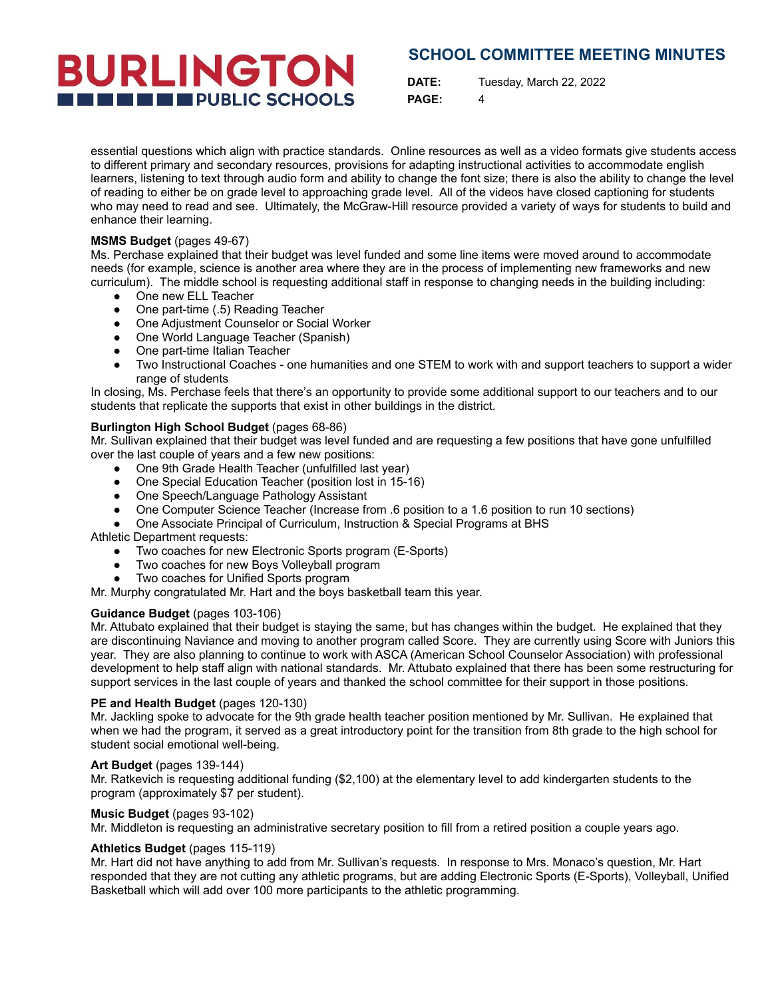# **BURLINGTON THE EXECUTIVE PUBLIC SCHOOLS**

## **SCHOOL COMMITTEE MEETING MINUTES**

**DATE:** Tuesday, March 22, 2022 **PAGE:** 4

essential questions which align with practice standards. Online resources as well as a video formats give students access to different primary and secondary resources, provisions for adapting instructional activities to accommodate english learners, listening to text through audio form and ability to change the font size; there is also the ability to change the level of reading to either be on grade level to approaching grade level. All of the videos have closed captioning for students who may need to read and see. Ultimately, the McGraw-Hill resource provided a variety of ways for students to build and enhance their learning.

#### **MSMS Budget** (pages 49-67)

Ms. Perchase explained that their budget was level funded and some line items were moved around to accommodate needs (for example, science is another area where they are in the process of implementing new frameworks and new curriculum). The middle school is requesting additional staff in response to changing needs in the building including:

- One new ELL Teacher
- One part-time (.5) Reading Teacher
- One Adjustment Counselor or Social Worker
- One World Language Teacher (Spanish)
- One part-time Italian Teacher
- Two Instructional Coaches one humanities and one STEM to work with and support teachers to support a wider range of students

In closing, Ms. Perchase feels that there's an opportunity to provide some additional support to our teachers and to our students that replicate the supports that exist in other buildings in the district.

#### **Burlington High School Budget** (pages 68-86)

Mr. Sullivan explained that their budget was level funded and are requesting a few positions that have gone unfulfilled over the last couple of years and a few new positions:

- One 9th Grade Health Teacher (unfulfilled last year)
- One Special Education Teacher (position lost in 15-16)
- One Speech/Language Pathology Assistant
- One Computer Science Teacher (Increase from .6 position to a 1.6 position to run 10 sections)
- One Associate Principal of Curriculum, Instruction & Special Programs at BHS

Athletic Department requests:

- Two coaches for new Electronic Sports program (E-Sports)
- Two coaches for new Boys Volleyball program
- Two coaches for Unified Sports program

Mr. Murphy congratulated Mr. Hart and the boys basketball team this year.

#### **Guidance Budget** (pages 103-106)

Mr. Attubato explained that their budget is staying the same, but has changes within the budget. He explained that they are discontinuing Naviance and moving to another program called Score. They are currently using Score with Juniors this year. They are also planning to continue to work with ASCA (American School Counselor Association) with professional development to help staff align with national standards. Mr. Attubato explained that there has been some restructuring for support services in the last couple of years and thanked the school committee for their support in those positions.

#### **PE and Health Budget** (pages 120-130)

Mr. Jackling spoke to advocate for the 9th grade health teacher position mentioned by Mr. Sullivan. He explained that when we had the program, it served as a great introductory point for the transition from 8th grade to the high school for student social emotional well-being.

#### **Art Budget** (pages 139-144)

Mr. Ratkevich is requesting additional funding (\$2,100) at the elementary level to add kindergarten students to the program (approximately \$7 per student).

#### **Music Budget** (pages 93-102)

Mr. Middleton is requesting an administrative secretary position to fill from a retired position a couple years ago.

#### **Athletics Budget** (pages 115-119)

Mr. Hart did not have anything to add from Mr. Sullivan's requests. In response to Mrs. Monaco's question, Mr. Hart responded that they are not cutting any athletic programs, but are adding Electronic Sports (E-Sports), Volleyball, Unified Basketball which will add over 100 more participants to the athletic programming.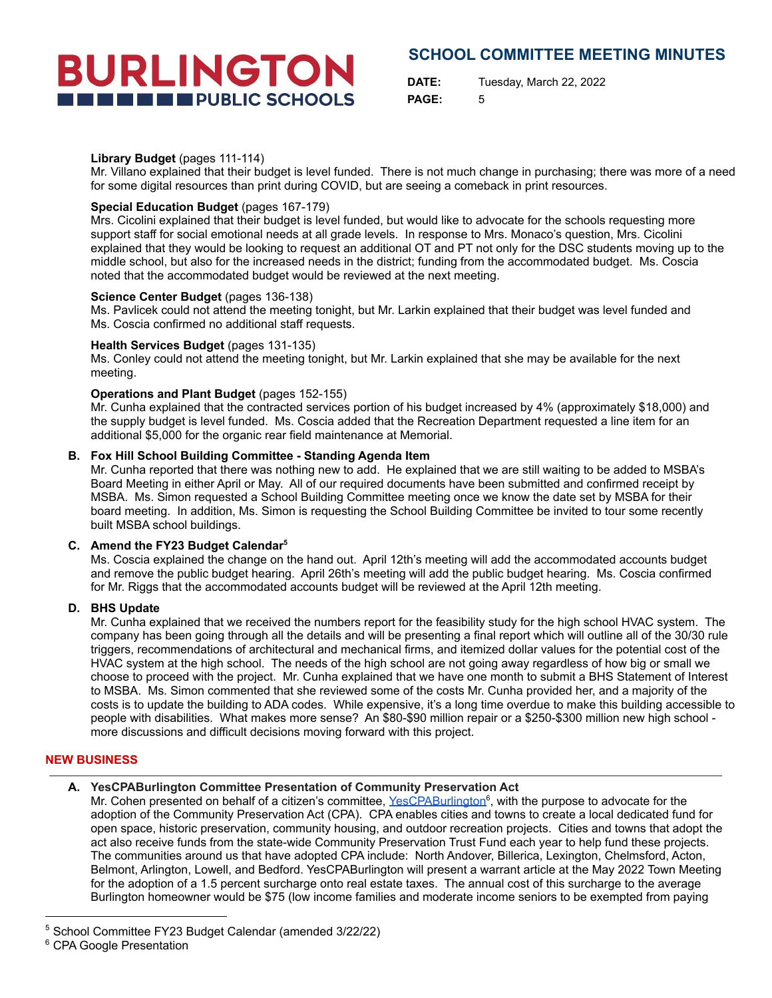**DATE:** Tuesday, March 22, 2022 **PAGE:** 5

#### **Library Budget** (pages 111-114)

Mr. Villano explained that their budget is level funded. There is not much change in purchasing; there was more of a need for some digital resources than print during COVID, but are seeing a comeback in print resources.

#### **Special Education Budget** (pages 167-179)

**BURLINGTON** 

**THE ENDIRECT PUBLIC SCHOOLS** 

Mrs. Cicolini explained that their budget is level funded, but would like to advocate for the schools requesting more support staff for social emotional needs at all grade levels. In response to Mrs. Monaco's question, Mrs. Cicolini explained that they would be looking to request an additional OT and PT not only for the DSC students moving up to the middle school, but also for the increased needs in the district; funding from the accommodated budget. Ms. Coscia noted that the accommodated budget would be reviewed at the next meeting.

#### **Science Center Budget** (pages 136-138)

Ms. Pavlicek could not attend the meeting tonight, but Mr. Larkin explained that their budget was level funded and Ms. Coscia confirmed no additional staff requests.

#### **Health Services Budget** (pages 131-135)

Ms. Conley could not attend the meeting tonight, but Mr. Larkin explained that she may be available for the next meeting.

#### **Operations and Plant Budget** (pages 152-155)

Mr. Cunha explained that the contracted services portion of his budget increased by 4% (approximately \$18,000) and the supply budget is level funded. Ms. Coscia added that the Recreation Department requested a line item for an additional \$5,000 for the organic rear field maintenance at Memorial.

#### **B. Fox Hill School Building Committee - Standing Agenda Item**

Mr. Cunha reported that there was nothing new to add. He explained that we are still waiting to be added to MSBA's Board Meeting in either April or May. All of our required documents have been submitted and confirmed receipt by MSBA. Ms. Simon requested a School Building Committee meeting once we know the date set by MSBA for their board meeting. In addition, Ms. Simon is requesting the School Building Committee be invited to tour some recently built MSBA school buildings.

#### **C. Amend the FY23 Budget Calendar 5**

Ms. Coscia explained the change on the hand out. April 12th's meeting will add the accommodated accounts budget and remove the public budget hearing. April 26th's meeting will add the public budget hearing. Ms. Coscia confirmed for Mr. Riggs that the accommodated accounts budget will be reviewed at the April 12th meeting.

#### **D. BHS Update**

Mr. Cunha explained that we received the numbers report for the feasibility study for the high school HVAC system. The company has been going through all the details and will be presenting a final report which will outline all of the 30/30 rule triggers, recommendations of architectural and mechanical firms, and itemized dollar values for the potential cost of the HVAC system at the high school. The needs of the high school are not going away regardless of how big or small we choose to proceed with the project. Mr. Cunha explained that we have one month to submit a BHS Statement of Interest to MSBA. Ms. Simon commented that she reviewed some of the costs Mr. Cunha provided her, and a majority of the costs is to update the building to ADA codes. While expensive, it's a long time overdue to make this building accessible to people with disabilities. What makes more sense? An \$80-\$90 million repair or a \$250-\$300 million new high school more discussions and difficult decisions moving forward with this project.

#### **NEW BUSINESS**

#### **A. YesCPABurlington Committee Presentation of Community Preservation Act**

Mr. Cohen presented on behalf of a citizen's committee, [YesCPABurlington](https://yescpaburlington.org/)<sup>6</sup>, with the purpose to advocate for the adoption of the Community Preservation Act (CPA). CPA enables cities and towns to create a local dedicated fund for open space, historic preservation, community housing, and outdoor recreation projects. Cities and towns that adopt the act also receive funds from the state-wide Community Preservation Trust Fund each year to help fund these projects. The communities around us that have adopted CPA include: North Andover, Billerica, Lexington, Chelmsford, Acton, Belmont, Arlington, Lowell, and Bedford. YesCPABurlington will present a warrant article at the May 2022 Town Meeting for the adoption of a 1.5 percent surcharge onto real estate taxes. The annual cost of this surcharge to the average Burlington homeowner would be \$75 (low income families and moderate income seniors to be exempted from paying

<sup>5</sup> School Committee FY23 Budget Calendar (amended 3/22/22)

<sup>&</sup>lt;sup>6</sup> CPA Google Presentation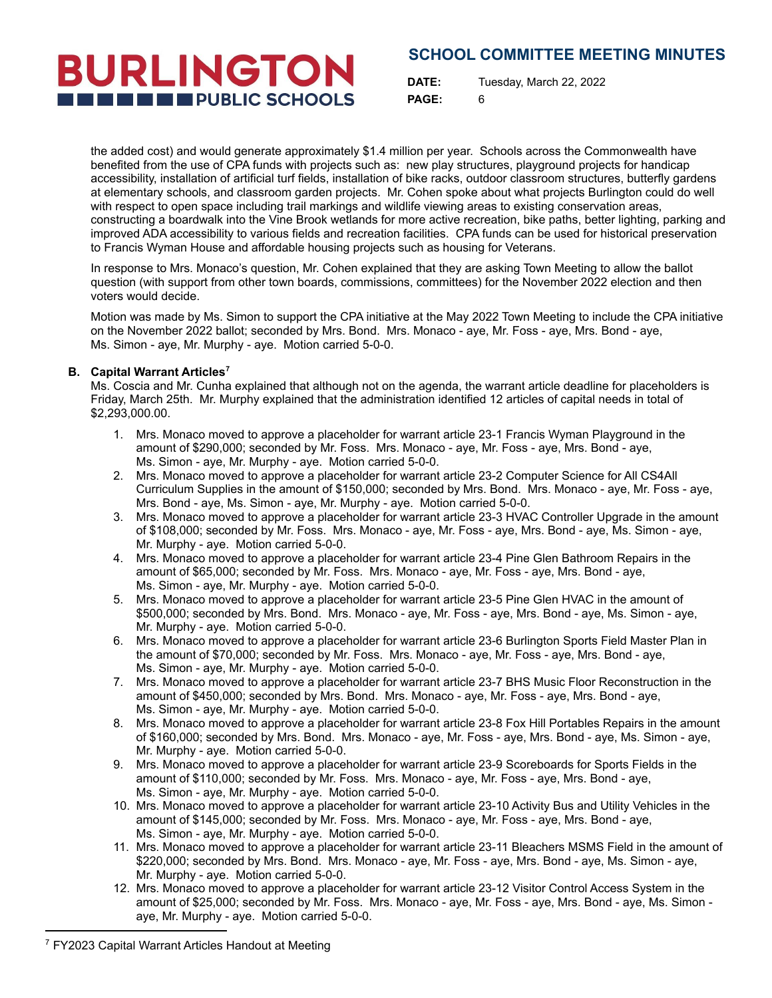# **BURLINGTON THE THE PUBLIC SCHOOLS**

**DATE:** Tuesday, March 22, 2022 **PAGE:** 6

the added cost) and would generate approximately \$1.4 million per year. Schools across the Commonwealth have benefited from the use of CPA funds with projects such as: new play structures, playground projects for handicap accessibility, installation of artificial turf fields, installation of bike racks, outdoor classroom structures, butterfly gardens at elementary schools, and classroom garden projects. Mr. Cohen spoke about what projects Burlington could do well with respect to open space including trail markings and wildlife viewing areas to existing conservation areas, constructing a boardwalk into the Vine Brook wetlands for more active recreation, bike paths, better lighting, parking and improved ADA accessibility to various fields and recreation facilities. CPA funds can be used for historical preservation to Francis Wyman House and affordable housing projects such as housing for Veterans.

In response to Mrs. Monaco's question, Mr. Cohen explained that they are asking Town Meeting to allow the ballot question (with support from other town boards, commissions, committees) for the November 2022 election and then voters would decide.

Motion was made by Ms. Simon to support the CPA initiative at the May 2022 Town Meeting to include the CPA initiative on the November 2022 ballot; seconded by Mrs. Bond. Mrs. Monaco - aye, Mr. Foss - aye, Mrs. Bond - aye, Ms. Simon - aye, Mr. Murphy - aye. Motion carried 5-0-0.

#### **B. Capital Warrant Articles 7**

Ms. Coscia and Mr. Cunha explained that although not on the agenda, the warrant article deadline for placeholders is Friday, March 25th. Mr. Murphy explained that the administration identified 12 articles of capital needs in total of \$2,293,000.00.

- 1. Mrs. Monaco moved to approve a placeholder for warrant article 23-1 Francis Wyman Playground in the amount of \$290,000; seconded by Mr. Foss. Mrs. Monaco - aye, Mr. Foss - aye, Mrs. Bond - aye, Ms. Simon - aye, Mr. Murphy - aye. Motion carried 5-0-0.
- 2. Mrs. Monaco moved to approve a placeholder for warrant article 23-2 Computer Science for All CS4All Curriculum Supplies in the amount of \$150,000; seconded by Mrs. Bond. Mrs. Monaco - aye, Mr. Foss - aye, Mrs. Bond - aye, Ms. Simon - aye, Mr. Murphy - aye. Motion carried 5-0-0.
- 3. Mrs. Monaco moved to approve a placeholder for warrant article 23-3 HVAC Controller Upgrade in the amount of \$108,000; seconded by Mr. Foss. Mrs. Monaco - aye, Mr. Foss - aye, Mrs. Bond - aye, Ms. Simon - aye, Mr. Murphy - aye. Motion carried 5-0-0.
- 4. Mrs. Monaco moved to approve a placeholder for warrant article 23-4 Pine Glen Bathroom Repairs in the amount of \$65,000; seconded by Mr. Foss. Mrs. Monaco - aye, Mr. Foss - aye, Mrs. Bond - aye, Ms. Simon - aye, Mr. Murphy - aye. Motion carried 5-0-0.
- 5. Mrs. Monaco moved to approve a placeholder for warrant article 23-5 Pine Glen HVAC in the amount of \$500,000; seconded by Mrs. Bond. Mrs. Monaco - aye, Mr. Foss - aye, Mrs. Bond - aye, Ms. Simon - aye, Mr. Murphy - aye. Motion carried 5-0-0.
- 6. Mrs. Monaco moved to approve a placeholder for warrant article 23-6 Burlington Sports Field Master Plan in the amount of \$70,000; seconded by Mr. Foss. Mrs. Monaco - aye, Mr. Foss - aye, Mrs. Bond - aye, Ms. Simon - aye, Mr. Murphy - aye. Motion carried 5-0-0.
- 7. Mrs. Monaco moved to approve a placeholder for warrant article 23-7 BHS Music Floor Reconstruction in the amount of \$450,000; seconded by Mrs. Bond. Mrs. Monaco - aye, Mr. Foss - aye, Mrs. Bond - aye, Ms. Simon - aye, Mr. Murphy - aye. Motion carried 5-0-0.
- 8. Mrs. Monaco moved to approve a placeholder for warrant article 23-8 Fox Hill Portables Repairs in the amount of \$160,000; seconded by Mrs. Bond. Mrs. Monaco - aye, Mr. Foss - aye, Mrs. Bond - aye, Ms. Simon - aye, Mr. Murphy - aye. Motion carried 5-0-0.
- 9. Mrs. Monaco moved to approve a placeholder for warrant article 23-9 Scoreboards for Sports Fields in the amount of \$110,000; seconded by Mr. Foss. Mrs. Monaco - aye, Mr. Foss - aye, Mrs. Bond - aye, Ms. Simon - aye, Mr. Murphy - aye. Motion carried 5-0-0.
- 10. Mrs. Monaco moved to approve a placeholder for warrant article 23-10 Activity Bus and Utility Vehicles in the amount of \$145,000; seconded by Mr. Foss. Mrs. Monaco - aye, Mr. Foss - aye, Mrs. Bond - aye, Ms. Simon - aye, Mr. Murphy - aye. Motion carried 5-0-0.
- 11. Mrs. Monaco moved to approve a placeholder for warrant article 23-11 Bleachers MSMS Field in the amount of \$220,000; seconded by Mrs. Bond. Mrs. Monaco - aye, Mr. Foss - aye, Mrs. Bond - aye, Ms. Simon - aye, Mr. Murphy - aye. Motion carried 5-0-0.
- 12. Mrs. Monaco moved to approve a placeholder for warrant article 23-12 Visitor Control Access System in the amount of \$25,000; seconded by Mr. Foss. Mrs. Monaco - aye, Mr. Foss - aye, Mrs. Bond - aye, Ms. Simon aye, Mr. Murphy - aye. Motion carried 5-0-0.

<sup>7</sup> FY2023 Capital Warrant Articles Handout at Meeting